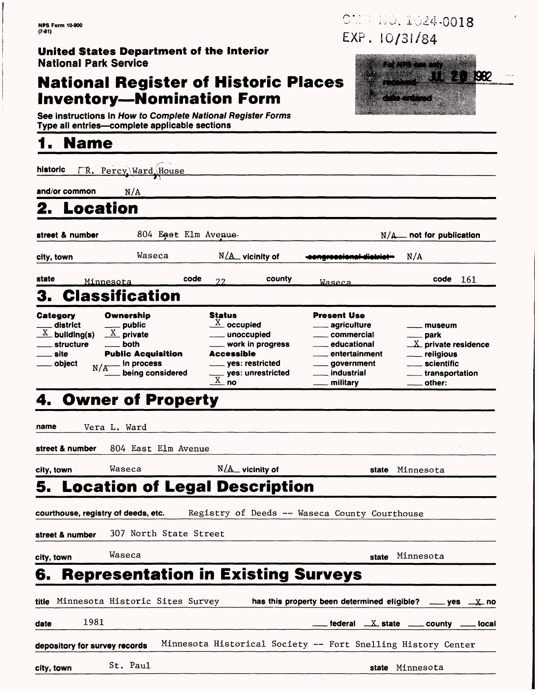#### **United States Department of the Interior** National Park Service

#### **National Register of Historic Places Inventory—Nomination Form**

See instructions in How to Complete National Register Forms Type all entries—complete applicable sections\_\_\_\_\_\_\_\_\_\_\_\_\_\_\_

## **1. Name\_\_\_\_\_\_\_\_\_\_\_\_\_\_\_\_**

| historic                                                                           | TR. Percy Ward House                                                                                                              |                                                                                                                                                                   |                                                                                                                                                   |                                                                                                                     |
|------------------------------------------------------------------------------------|-----------------------------------------------------------------------------------------------------------------------------------|-------------------------------------------------------------------------------------------------------------------------------------------------------------------|---------------------------------------------------------------------------------------------------------------------------------------------------|---------------------------------------------------------------------------------------------------------------------|
| and/or common                                                                      | N/A                                                                                                                               |                                                                                                                                                                   |                                                                                                                                                   |                                                                                                                     |
| Location                                                                           |                                                                                                                                   |                                                                                                                                                                   |                                                                                                                                                   |                                                                                                                     |
| street & number                                                                    |                                                                                                                                   | 804 East Elm Avenue-                                                                                                                                              | N/A                                                                                                                                               | _ not for publication                                                                                               |
| city, town                                                                         | Waseca                                                                                                                            | $N/\Delta$ vicinity of                                                                                                                                            | pngrosolonal-diokrio                                                                                                                              | N/A                                                                                                                 |
| state                                                                              | Minnesota                                                                                                                         | code<br>county<br>22                                                                                                                                              | Waseca                                                                                                                                            | $code$ $161$                                                                                                        |
| 3.                                                                                 | <b>Classification</b>                                                                                                             |                                                                                                                                                                   |                                                                                                                                                   |                                                                                                                     |
| Category<br>district<br>$\underline{X}$ building(s)<br>structure<br>site<br>object | Ownership<br>__ public<br>$\underline{X}$ private<br>both<br><b>Public Acquisition</b><br>. in process<br>N/A<br>being considered | <b>Status</b><br>$\frac{X}{A}$ occupied<br>unoccupied<br>work in progress<br>Accessible<br>yes: restricted<br><sub>—</sub> yes: unrestricted<br>$\overline{X}$ no | <b>Present Use</b><br>agriculture<br>commercial<br>educational<br>entertainment<br>government<br><sub>—</sub> industrial<br><sub>–</sub> military | museum<br>___ park<br>$\underline{X}$ private residence<br>religious<br>scientific<br>$\_$ transportation<br>other: |
| 4.                                                                                 | <b>Owner of Property</b>                                                                                                          |                                                                                                                                                                   |                                                                                                                                                   |                                                                                                                     |
| name<br>street & number<br>city, town                                              | Vera L. Ward<br>804 East Elm Avenue<br>Waseca                                                                                     | $N/\underline{A}$ vicinity of                                                                                                                                     | state                                                                                                                                             | Minnesota                                                                                                           |
|                                                                                    |                                                                                                                                   | 5.  Location of Legal Description                                                                                                                                 |                                                                                                                                                   |                                                                                                                     |
| street & number                                                                    | courthouse, registry of deeds, etc.<br>307 North State Street                                                                     | Registry of Deeds -- Waseca County Courthouse                                                                                                                     |                                                                                                                                                   |                                                                                                                     |
| city, town                                                                         | Waseca                                                                                                                            |                                                                                                                                                                   |                                                                                                                                                   | state Minnesota                                                                                                     |
| 6.                                                                                 |                                                                                                                                   | <b>Representation in Existing Surveys</b>                                                                                                                         |                                                                                                                                                   |                                                                                                                     |
|                                                                                    | title Minnesota Historic Sites Survey                                                                                             |                                                                                                                                                                   | has this property been determined eligible?                                                                                                       | _ ves ______ no                                                                                                     |
| 1981<br>date                                                                       |                                                                                                                                   |                                                                                                                                                                   |                                                                                                                                                   | $f$ ederal $X$ state $X$ county $X$<br>_ local                                                                      |
| depository for survey records                                                      |                                                                                                                                   | Minnesota Historical Society -- Fort Snelling History Center                                                                                                      |                                                                                                                                                   |                                                                                                                     |
| city, town                                                                         | St. Paul                                                                                                                          |                                                                                                                                                                   |                                                                                                                                                   | state Minnesota                                                                                                     |

OMD ND. 1024-0018 EXP. 10/31/84

**11 20 982**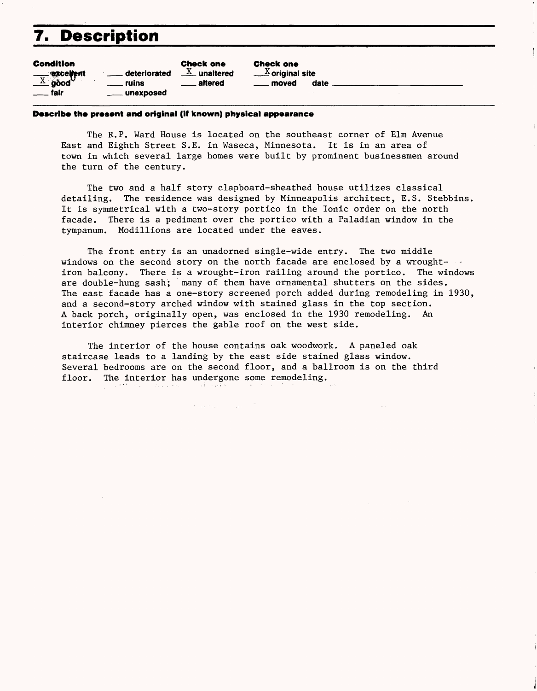## 7. Description

| <b>Condition</b>                   |                 | <b>Check one</b>          |
|------------------------------------|-----------------|---------------------------|
|                                    | deteriorated    | $\underline{X}$ unaltered |
| $\frac{X}{X}$ good                 | ruins           | <u>_</u> __ aitered       |
| . fair<br>$\overline{\phantom{a}}$ | _____ unexposed |                           |

Check one  $\mathbb X$  original site moved date \_

#### **Describe the present and original (iff known) physical appearance**

The R.P. Ward House is located on the southeast corner of Elm Avenue East and Eighth Street S.E. in Waseca, Minnesota. It is in an area of town in which several large homes were built by prominent businessmen around the turn of the century.

The two and a half story clapboard-sheathed house utilizes classical detailing. The residence was designed by Minneapolis architect, E.S. Stebbins. It is symmetrical with a two-story portico in the Ionic order on the north facade. There is a pediment over the portico with a Paladian window in the tympanum. Modillions are located under the eaves.

The front entry is an unadorned single-wide entry. The two middle windows on the second story on the north facade are enclosed by a wroughtiron balcony. There is a wrought-iron railing around the portico. The windows are double-hung sash; many of them have ornamental shutters on the sides. The east facade has a one-story screened porch added during remodeling in 1930, and a second-story arched window with stained glass in the top section. A back porch, originally open, was enclosed in the 1930 remodeling. An interior chimney pierces the gable roof on the west side.

The interior of the house contains oak woodwork. A paneled oak staircase leads to a landing by the east side stained glass window. Several bedrooms are on the second floor, and a ballroom is on the third floor. The interior has undergone some remodeling. الفهام الأعدا

**County** 

 $\sigma$  , and  $\sigma$  , and  $\sigma$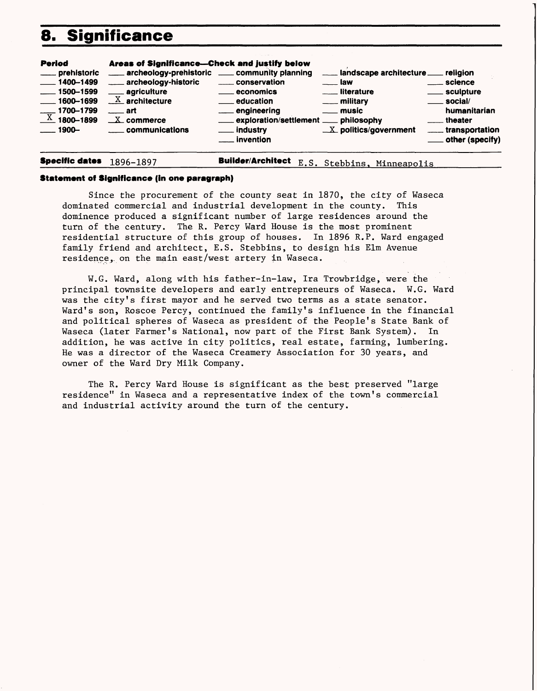## **8. Significance**



**Specific dates** 1896-1897 **Builder/Architect E.S. Stebbins, Minneapolis** 

#### **Statement of Significance (in one paragraph)**

Since the procurement of the county seat in 1870, the city of Waseca dominated commercial and industrial development in the county. This dominence produced a significant number of large residences around the turn of the century. The R. Percy Ward House is the most prominent residential structure of this group of houses. In 1896 R.P. Ward engaged family friend and architect, E.S. Stebbins, to design his Elm Avenue residence, on the main east/west artery in Waseca.

W.G. Ward, along with his father-in-law, Ira Trowbridge, were the principal townsite developers and early entrepreneurs of Waseca. W.G. Ward was the city's first mayor and he served two terms as a state senator. Ward's son, Roscoe Percy, continued the family's influence in the financial and political spheres of Waseca as president of the People's State Bank of Waseca (later Farmer's National, now part of the First Bank System). In addition, he was active in city politics, real estate, farming, lumbering. He was a director of the Waseca Creamery Association for 30 years, and owner of the Ward Dry Milk Company.

The R. Percy Ward House is significant as the best preserved "large residence" in Waseca and a representative index of the town's commercial and industrial activity around the turn of the century.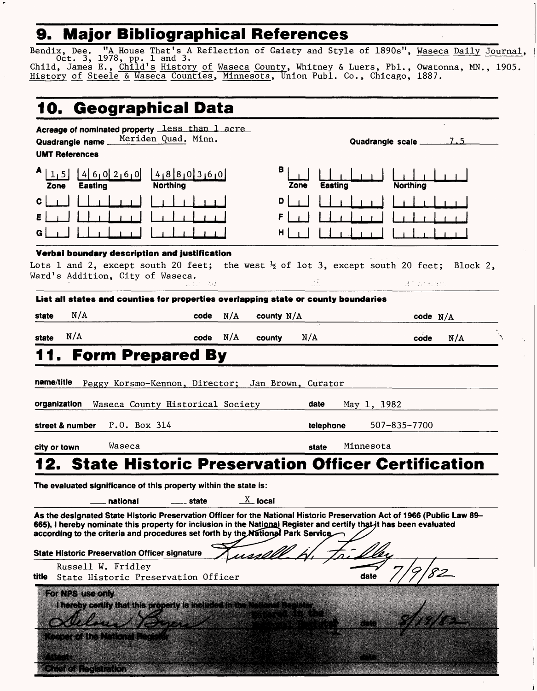## **9. Major Bibliographical References**

 $\bullet$ 

a kalendar i

Bendix, Dee. "A House That's A Reflection of Gaiety and Style of 1890s", Waseca Daily Journal, Oct. 3, 1978, pp. 1 and 3. ————————^ —————— Child, James E., <u>Child's History of</u> Waseca <u>County</u>, Whitney & Luers, Pbl., Owatonna, MN., 1905. History of Steele & Waseca Counties, Minnesota, Union Publ. Co., Chicago, 1887.

| 10. Geographical Data                                                                       |                                                                                                                                                                                             |                                                                                                                                                                                                                                                 |
|---------------------------------------------------------------------------------------------|---------------------------------------------------------------------------------------------------------------------------------------------------------------------------------------------|-------------------------------------------------------------------------------------------------------------------------------------------------------------------------------------------------------------------------------------------------|
| Acreage of nominated property less than 1 acre<br>Quadrangie name_<br><b>UMT References</b> | Meriden Quad. Minn.                                                                                                                                                                         | 7.5<br>Quadrangle scale                                                                                                                                                                                                                         |
| Ą<br>1, 5<br>Eastino<br>Zone                                                                | $460260$ $4880360$<br>Northina                                                                                                                                                              | в<br>Easting<br><b>Northing</b><br>Zone                                                                                                                                                                                                         |
| c                                                                                           |                                                                                                                                                                                             | D<br>н                                                                                                                                                                                                                                          |
| Verbai boundary description and justification<br>Ward's Addition, City of Waseca.           | 医血管 法过                                                                                                                                                                                      | Lots 1 and 2, except south 20 feet; the west $\frac{1}{2}$ of lot 3, except south 20 feet; Block 2,<br>BE Statistic                                                                                                                             |
| N/A<br>state                                                                                | List all states and counties for properties overlapping state or county boundaries<br>code<br>N/A                                                                                           | county $N/A$<br>code $N/A$                                                                                                                                                                                                                      |
| N/A<br>state                                                                                | N/A<br>code<br>county                                                                                                                                                                       | N/A<br>N/A<br>code                                                                                                                                                                                                                              |
| P.O. Box 314<br>street & number                                                             | Waseca County Historical Society                                                                                                                                                            | May 1, 1982<br>507-835-7700<br>telephone                                                                                                                                                                                                        |
| Waseca<br>city or town                                                                      |                                                                                                                                                                                             | Minnesota<br>state                                                                                                                                                                                                                              |
|                                                                                             |                                                                                                                                                                                             | 2. State Historic Preservation Officer Certification                                                                                                                                                                                            |
|                                                                                             | The evaluated significance of this property within the state is:                                                                                                                            |                                                                                                                                                                                                                                                 |
| national<br><b>State Historic Preservation Officer signature</b>                            | $\underline{X}$ local<br>state<br>according to the criteria and procedures set forth by the National Park Service<br><u>nssöv</u>                                                           | As the designated State Historic Preservation Officer for the National Historic Preservation Act of 1966 (Public Law 89–<br>665), I hereby nominate this property for inclusion in the National Register and certify that-it has been evaluated |
| Russell W. Fridley<br><b>title</b>                                                          | State Historic Preservation Officer                                                                                                                                                         | date                                                                                                                                                                                                                                            |
| For NPS use only<br>KODO KONDORNA KODI ROD                                                  | I hereby certify that this property is included in the National Fie<br><b>All Constitution of the Constitution of the Constitution of the Constitution of the Constitution of the Const</b> |                                                                                                                                                                                                                                                 |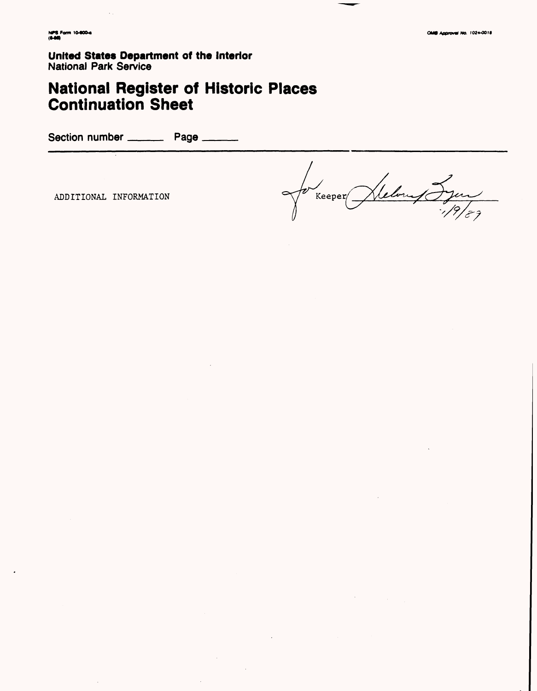**United States Department of the Interior National Park Service** 

# **National Register of Historic Places<br>Continuation Sheet**

Section number \_\_\_\_\_\_\_\_\_\_\_ Page \_\_

ADDITIONAL INFORMATION

Kelouf Syon  $\sqrt{\frac{1}{2}}$ Keeper $\sqrt{\frac{1}{2}}$